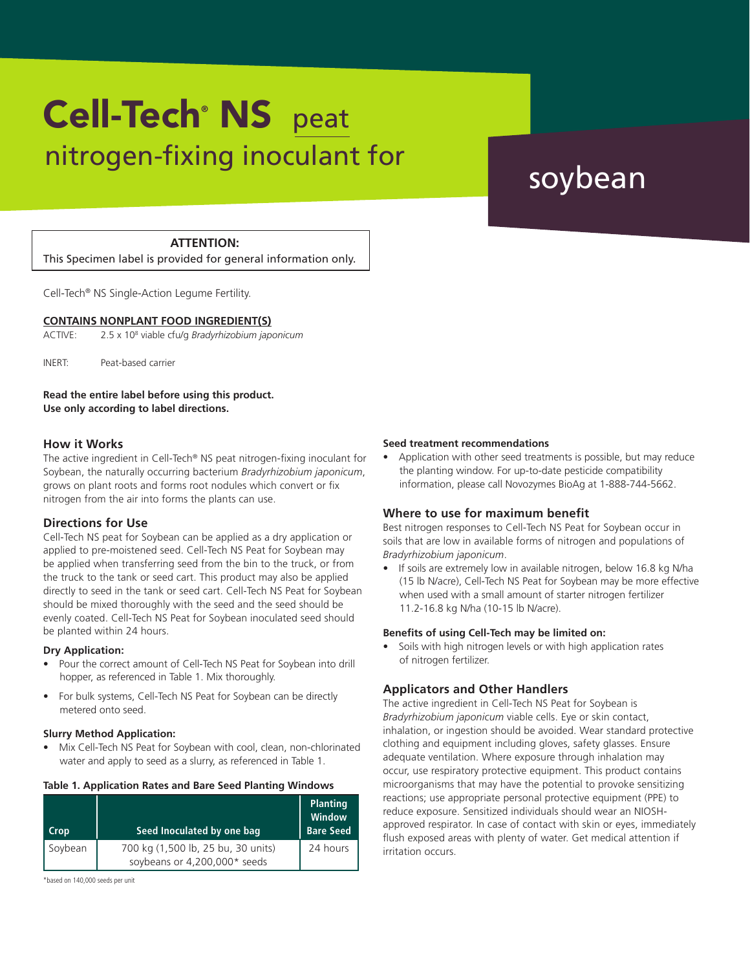# nitrogen-fixing inoculant for soybean Cell-Tech<sup>®</sup> NS peat

# **ATTENTION:**

This Specimen label is provided for general information only.

Cell-Tech® NS Single-Action Legume Fertility.

#### **CONTAINS NONPLANT FOOD INGREDIENT(S)**

ACTIVE: 2.5 x 108 viable cfu/g *Bradyrhizobium japonicum*

INERT: Peat-based carrier

**Read the entire label before using this product. Use only according to label directions.**

### **How it Works**

The active ingredient in Cell-Tech® NS peat nitrogen-fixing inoculant for Soybean, the naturally occurring bacterium *Bradyrhizobium japonicum*, grows on plant roots and forms root nodules which convert or fix nitrogen from the air into forms the plants can use.

### **Directions for Use**

Cell-Tech NS peat for Soybean can be applied as a dry application or applied to pre-moistened seed. Cell-Tech NS Peat for Soybean may be applied when transferring seed from the bin to the truck, or from the truck to the tank or seed cart. This product may also be applied directly to seed in the tank or seed cart. Cell-Tech NS Peat for Soybean should be mixed thoroughly with the seed and the seed should be evenly coated. Cell-Tech NS Peat for Soybean inoculated seed should be planted within 24 hours.

#### **Dry Application:**

- Pour the correct amount of Cell-Tech NS Peat for Soybean into drill hopper, as referenced in Table 1. Mix thoroughly.
- For bulk systems, Cell-Tech NS Peat for Soybean can be directly metered onto seed.

#### **Slurry Method Application:**

• Mix Cell-Tech NS Peat for Soybean with cool, clean, non-chlorinated water and apply to seed as a slurry, as referenced in Table 1.

#### **Table 1. Application Rates and Bare Seed Planting Windows**

| Crop    | Seed Inoculated by one bag                                         | <b>Planting</b><br>Window<br><b>Bare Seed</b> |
|---------|--------------------------------------------------------------------|-----------------------------------------------|
| Soybean | 700 kg (1,500 lb, 25 bu, 30 units)<br>soybeans or 4,200,000* seeds | 24 hours                                      |

\*based on 140,000 seeds per unit

#### **Seed treatment recommendations**

• Application with other seed treatments is possible, but may reduce the planting window. For up-to-date pesticide compatibility information, please call Novozymes BioAg at 1-888-744-5662.

### **Where to use for maximum benefit**

Best nitrogen responses to Cell-Tech NS Peat for Soybean occur in soils that are low in available forms of nitrogen and populations of *Bradyrhizobium japonicum*.

• If soils are extremely low in available nitrogen, below 16.8 kg N/ha (15 lb N/acre), Cell-Tech NS Peat for Soybean may be more effective when used with a small amount of starter nitrogen fertilizer 11.2-16.8 kg N/ha (10-15 lb N/acre).

#### **Benefits of using Cell-Tech may be limited on:**

Soils with high nitrogen levels or with high application rates of nitrogen fertilizer.

### **Applicators and Other Handlers**

The active ingredient in Cell-Tech NS Peat for Soybean is *Bradyrhizobium japonicum* viable cells. Eye or skin contact, inhalation, or ingestion should be avoided. Wear standard protective clothing and equipment including gloves, safety glasses. Ensure adequate ventilation. Where exposure through inhalation may occur, use respiratory protective equipment. This product contains microorganisms that may have the potential to provoke sensitizing reactions; use appropriate personal protective equipment (PPE) to reduce exposure. Sensitized individuals should wear an NIOSHapproved respirator. In case of contact with skin or eyes, immediately flush exposed areas with plenty of water. Get medical attention if irritation occurs.